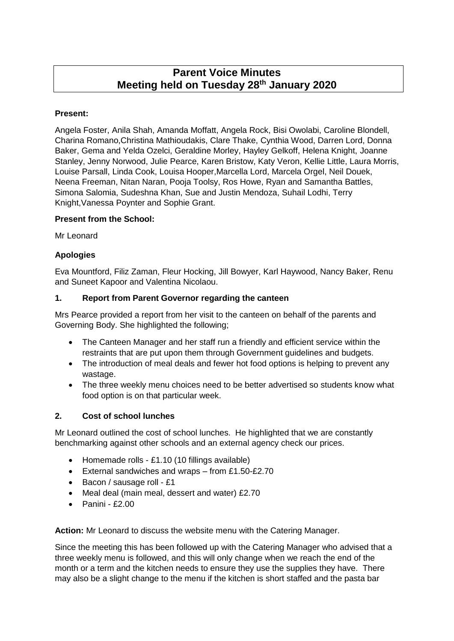# **Parent Voice Minutes Meeting held on Tuesday 28th January 2020**

### **Present:**

Angela Foster, Anila Shah, Amanda Moffatt, Angela Rock, Bisi Owolabi, Caroline Blondell, Charina Romano,Christina Mathioudakis, Clare Thake, Cynthia Wood, Darren Lord, Donna Baker, Gema and Yelda Ozelci, Geraldine Morley, Hayley Gelkoff, Helena Knight, Joanne Stanley, Jenny Norwood, Julie Pearce, Karen Bristow, Katy Veron, Kellie Little, Laura Morris, Louise Parsall, Linda Cook, Louisa Hooper,Marcella Lord, Marcela Orgel, Neil Douek, Neena Freeman, Nitan Naran, Pooja Toolsy, Ros Howe, Ryan and Samantha Battles, Simona Salomia, Sudeshna Khan, Sue and Justin Mendoza, Suhail Lodhi, Terry Knight,Vanessa Poynter and Sophie Grant.

#### **Present from the School:**

Mr Leonard

#### **Apologies**

Eva Mountford, Filiz Zaman, Fleur Hocking, Jill Bowyer, Karl Haywood, Nancy Baker, Renu and Suneet Kapoor and Valentina Nicolaou.

#### **1. Report from Parent Governor regarding the canteen**

Mrs Pearce provided a report from her visit to the canteen on behalf of the parents and Governing Body. She highlighted the following;

- The Canteen Manager and her staff run a friendly and efficient service within the restraints that are put upon them through Government guidelines and budgets.
- The introduction of meal deals and fewer hot food options is helping to prevent any wastage.
- The three weekly menu choices need to be better advertised so students know what food option is on that particular week.

# **2. Cost of school lunches**

Mr Leonard outlined the cost of school lunches. He highlighted that we are constantly benchmarking against other schools and an external agency check our prices.

- Homemade rolls £1.10 (10 fillings available)
- External sandwiches and wraps from £1.50-£2.70
- Bacon / sausage roll £1
- Meal deal (main meal, dessert and water) £2.70
- $\bullet$  Panini £2.00

**Action:** Mr Leonard to discuss the website menu with the Catering Manager.

Since the meeting this has been followed up with the Catering Manager who advised that a three weekly menu is followed, and this will only change when we reach the end of the month or a term and the kitchen needs to ensure they use the supplies they have. There may also be a slight change to the menu if the kitchen is short staffed and the pasta bar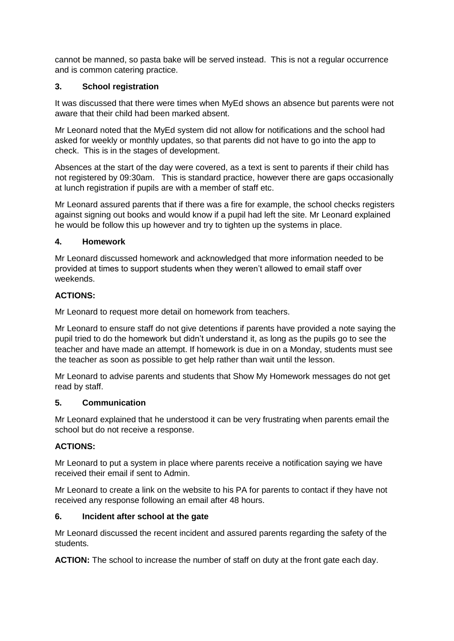cannot be manned, so pasta bake will be served instead. This is not a regular occurrence and is common catering practice.

#### **3. School registration**

It was discussed that there were times when MyEd shows an absence but parents were not aware that their child had been marked absent.

Mr Leonard noted that the MyEd system did not allow for notifications and the school had asked for weekly or monthly updates, so that parents did not have to go into the app to check. This is in the stages of development.

Absences at the start of the day were covered, as a text is sent to parents if their child has not registered by 09:30am. This is standard practice, however there are gaps occasionally at lunch registration if pupils are with a member of staff etc.

Mr Leonard assured parents that if there was a fire for example, the school checks registers against signing out books and would know if a pupil had left the site. Mr Leonard explained he would be follow this up however and try to tighten up the systems in place.

#### **4. Homework**

Mr Leonard discussed homework and acknowledged that more information needed to be provided at times to support students when they weren't allowed to email staff over weekends.

#### **ACTIONS:**

Mr Leonard to request more detail on homework from teachers.

Mr Leonard to ensure staff do not give detentions if parents have provided a note saying the pupil tried to do the homework but didn't understand it, as long as the pupils go to see the teacher and have made an attempt. If homework is due in on a Monday, students must see the teacher as soon as possible to get help rather than wait until the lesson.

Mr Leonard to advise parents and students that Show My Homework messages do not get read by staff.

#### **5. Communication**

Mr Leonard explained that he understood it can be very frustrating when parents email the school but do not receive a response.

#### **ACTIONS:**

Mr Leonard to put a system in place where parents receive a notification saying we have received their email if sent to Admin.

Mr Leonard to create a link on the website to his PA for parents to contact if they have not received any response following an email after 48 hours.

#### **6. Incident after school at the gate**

Mr Leonard discussed the recent incident and assured parents regarding the safety of the students.

**ACTION:** The school to increase the number of staff on duty at the front gate each day.